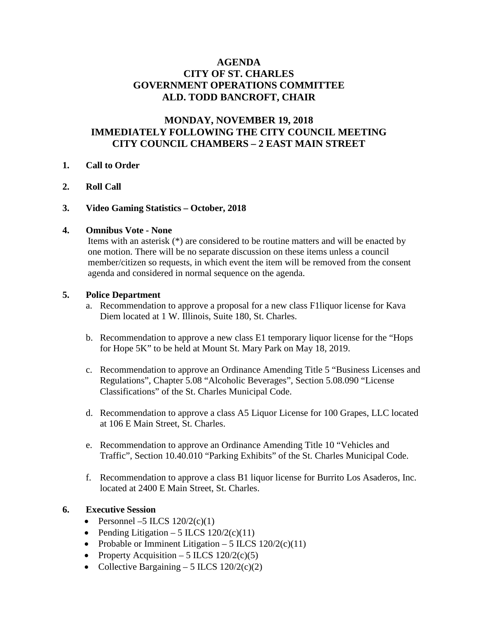# **AGENDA CITY OF ST. CHARLES GOVERNMENT OPERATIONS COMMITTEE ALD. TODD BANCROFT, CHAIR**

# **MONDAY, NOVEMBER 19, 2018 IMMEDIATELY FOLLOWING THE CITY COUNCIL MEETING CITY COUNCIL CHAMBERS – 2 EAST MAIN STREET**

## **1. Call to Order**

- **2. Roll Call**
- **3. Video Gaming Statistics – October, 2018**

## **4. Omnibus Vote - None**

Items with an asterisk (\*) are considered to be routine matters and will be enacted by one motion. There will be no separate discussion on these items unless a council member/citizen so requests, in which event the item will be removed from the consent agenda and considered in normal sequence on the agenda.

# **5. Police Department**

- a. Recommendation to approve a proposal for a new class F1liquor license for Kava Diem located at 1 W. Illinois, Suite 180, St. Charles.
- b. Recommendation to approve a new class E1 temporary liquor license for the "Hops for Hope 5K" to be held at Mount St. Mary Park on May 18, 2019.
- c. Recommendation to approve an Ordinance Amending Title 5 "Business Licenses and Regulations", Chapter 5.08 "Alcoholic Beverages", Section 5.08.090 "License Classifications" of the St. Charles Municipal Code.
- d. Recommendation to approve a class A5 Liquor License for 100 Grapes, LLC located at 106 E Main Street, St. Charles.
- e. Recommendation to approve an Ordinance Amending Title 10 "Vehicles and Traffic", Section 10.40.010 "Parking Exhibits" of the St. Charles Municipal Code.
- f. Recommendation to approve a class B1 liquor license for Burrito Los Asaderos, Inc. located at 2400 E Main Street, St. Charles.

# **6. Executive Session**

- Personnel –5 ILCS  $120/2(c)(1)$
- Pending Litigation 5 ILCS  $120/2(c)(11)$
- Probable or Imminent Litigation 5 ILCS  $120/2(c)(11)$
- Property Acquisition 5 ILCS  $120/2(c)(5)$
- Collective Bargaining 5 ILCS  $120/2(c)(2)$